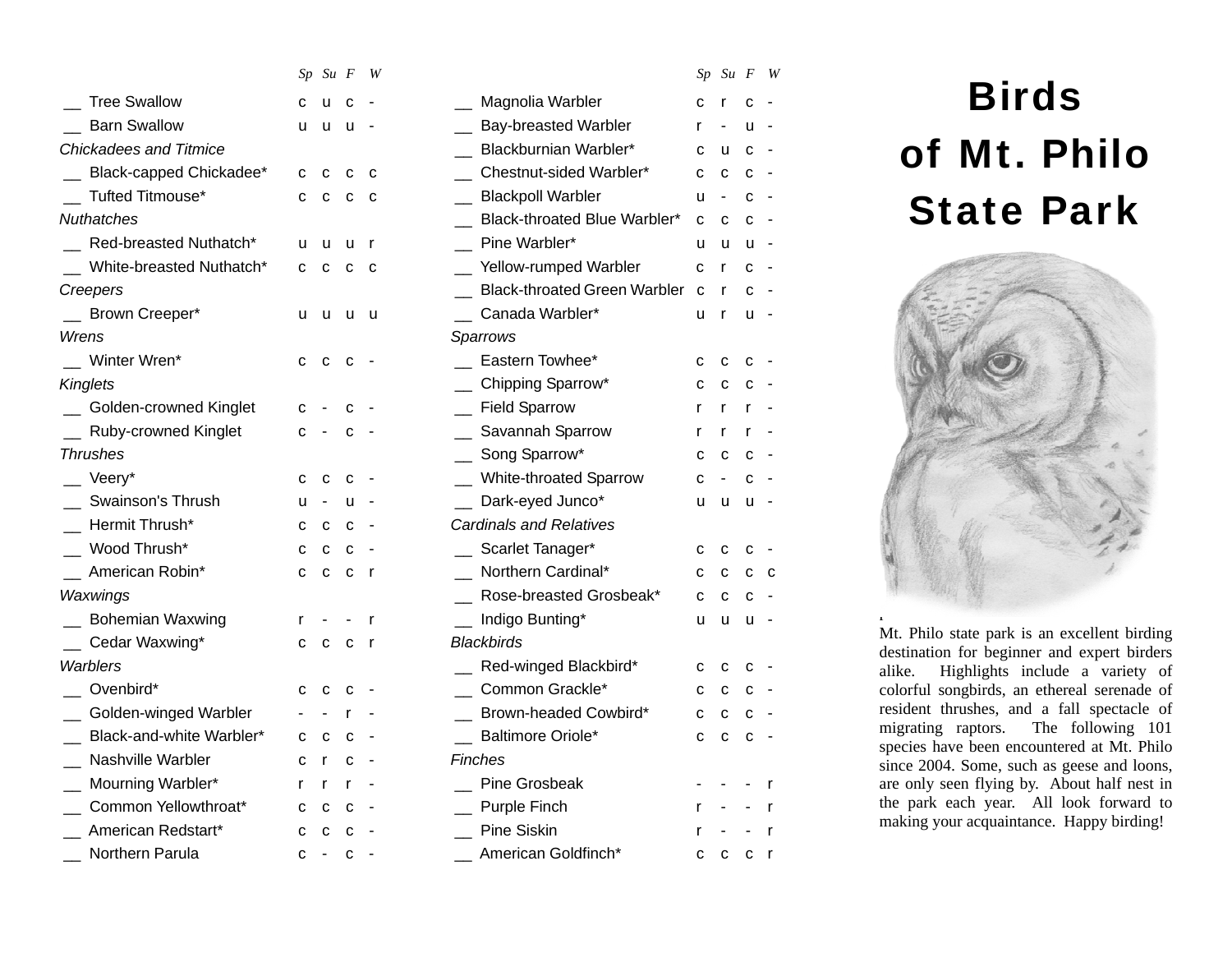|                               |              | $Sp$ $Su$ $F$            |             | - W          |                                                      |             | $Sp$ $Su$ $F$  |   | W            |
|-------------------------------|--------------|--------------------------|-------------|--------------|------------------------------------------------------|-------------|----------------|---|--------------|
| <b>Tree Swallow</b>           | C            | u                        | c           |              | Magnolia Warbler                                     | c           | r              | C |              |
| <b>Barn Swallow</b>           | u            | u                        | u           |              | <b>Bay-breasted Warbler</b>                          | r           |                | u |              |
| <b>Chickadees and Titmice</b> |              |                          |             |              | Blackburnian Warbler*                                | C           | u              | C |              |
| Black-capped Chickadee*       | C            | C                        | C           | c            | Chestnut-sided Warbler*                              | C           | $\mathbf C$    | C |              |
| Tufted Titmouse*              | $\mathbf{C}$ | C                        | C           | C            | <b>Blackpoll Warbler</b><br>$\overline{\phantom{a}}$ | u           | $\blacksquare$ | C |              |
| <b>Nuthatches</b>             |              |                          |             |              | Black-throated Blue Warbler*                         | C           | C              | C |              |
| Red-breasted Nuthatch*        | u            | u                        | u           | $\mathsf{r}$ | Pine Warbler*                                        | u           | u              | u |              |
| White-breasted Nuthatch*      | C            | C                        | C           | C            | _ Yellow-rumped Warbler                              | C           | r              | с |              |
| Creepers                      |              |                          |             |              | <b>Black-throated Green Warbler</b>                  | $\mathbf C$ | r              | C |              |
| Brown Creeper*                | u            | u                        | u           | - u          | Canada Warbler*                                      | u           | r              | u |              |
| Wrens                         |              |                          |             |              | Sparrows                                             |             |                |   |              |
| Winter Wren*                  | C            | C                        | C           |              | Eastern Towhee*                                      | C           | C              | C |              |
| <b>Kinglets</b>               |              |                          |             |              | _ Chipping Sparrow*                                  | C           | C              | C |              |
| Golden-crowned Kinglet        | C            |                          | c           |              | <b>Field Sparrow</b><br>$\equiv$                     | r           | r              | r |              |
| Ruby-crowned Kinglet          | C            | $\overline{\phantom{a}}$ | C           |              | Savannah Sparrow                                     | r           | r              | r |              |
| <b>Thrushes</b>               |              |                          |             |              | Song Sparrow*                                        | C           | C              | C |              |
| $\equiv$ Veery*               | С            | c                        | с           |              | _ White-throated Sparrow                             | C           | $\blacksquare$ | C |              |
| Swainson's Thrush             | u            | $\blacksquare$           | u           |              | Dark-eyed Junco*                                     | u           | u              | u |              |
| Hermit Thrush*                | C            | C                        | C           |              | <b>Cardinals and Relatives</b>                       |             |                |   |              |
| Wood Thrush*                  | C            | C                        | C           |              | Scarlet Tanager*                                     | C           | c              | с |              |
| American Robin*               | C            | C                        | c           | $\mathsf{r}$ | Northern Cardinal*                                   | C           | C              | C | - C          |
| Waxwings                      |              |                          |             |              | Rose-breasted Grosbeak*                              | C           | $\mathbf C$    | C |              |
| <b>Bohemian Waxwing</b>       | r            |                          |             | r            | __ Indigo Bunting*                                   | u           | u              | u |              |
| Cedar Waxwing*                | C            | C                        | C           | - r          | <b>Blackbirds</b>                                    |             |                |   |              |
| Warblers                      |              |                          |             |              | Red-winged Blackbird*                                | с           | c              | с |              |
| Ovenbird*                     | C            | C                        | C           |              | Common Grackle*                                      | C           | C              | C |              |
| _ Golden-winged Warbler       |              |                          | r           |              | Brown-headed Cowbird*                                | C           | C              | C |              |
| Black-and-white Warbler*      | C            | C                        | c           |              | Baltimore Oriole*                                    | C           | C              | C |              |
| Nashville Warbler             | C            | r                        | C           |              | Finches                                              |             |                |   |              |
| Mourning Warbler*             | r            | r                        | r           |              | <b>Pine Grosbeak</b>                                 |             |                |   | r            |
| _ Common Yellowthroat*        | C            | C                        | C           |              | Purple Finch                                         | r           |                |   | r            |
| American Redstart*            | C            | C                        | $\mathbf C$ |              | <b>Pine Siskin</b>                                   |             |                |   | $\mathsf{r}$ |
| Northern Parula               | с            | $\blacksquare$           | $\mathbf c$ |              | American Goldfinch*                                  | C           | С              | С | $\mathsf{r}$ |

|     | Sp Su F W    |   |          |                                |   | $Sp$ Su $F$ W |              |              |                                                                      |
|-----|--------------|---|----------|--------------------------------|---|---------------|--------------|--------------|----------------------------------------------------------------------|
| C.  | - u          | C |          | Magnolia Warbler               | С |               | с            |              | <b>Birds</b>                                                         |
| u u |              | u |          | <b>Bay-breasted Warbler</b>    | r |               | u.           |              |                                                                      |
|     |              |   |          | Blackburnian Warbler*          | C | u             | C            |              | of Mt. Ph                                                            |
| C.  | $\mathbf{C}$ | C | c        | Chestnut-sided Warbler*        | C | $\mathbf{C}$  | $\mathbf{C}$ |              |                                                                      |
|     | $c$ $c$ $c$  |   | - C      | <b>Blackpoll Warbler</b>       | u |               | c            |              |                                                                      |
|     |              |   |          | Black-throated Blue Warbler*   | C | C             | C            |              | <b>State Pa</b>                                                      |
| u u |              | u | <b>r</b> | Pine Warbler*                  | u | u             | u -          |              |                                                                      |
|     | сссс         |   |          | Yellow-rumped Warbler          | C | $\mathsf{r}$  | $c -$        |              |                                                                      |
|     |              |   |          | Black-throated Green Warbler c |   | $\mathsf{r}$  | $c -$        |              |                                                                      |
|     | u u u u      |   |          | Canada Warbler*                | u | $\mathsf{r}$  | u -          |              |                                                                      |
|     |              |   |          | Sparrows                       |   |               |              |              |                                                                      |
| C.  | $\mathbf{C}$ | C |          | Eastern Towhee*                | C | C             | C            |              |                                                                      |
|     |              |   |          | Chipping Sparrow*              | с | C             | c            |              |                                                                      |
| с   |              |   |          | _ Field Sparrow                | r | r.            | $\mathsf{r}$ |              |                                                                      |
| C   |              | C |          | _ Savannah Sparrow             | r | $\mathsf{r}$  | r            |              |                                                                      |
|     |              |   |          | Song Sparrow*                  | C | C             | C            |              |                                                                      |
| с   | с            |   |          | White-throated Sparrow         |   |               |              |              |                                                                      |
| u   |              |   |          | Dark-eyed Junco*               | u | u             | u -          |              |                                                                      |
| С   | $\mathbf{C}$ | C |          | <b>Cardinals and Relatives</b> |   |               |              |              |                                                                      |
| С   | C            | C |          | _ Scarlet Tanager*             | C | C             | C            |              |                                                                      |
| c c |              | C | - r      | Northern Cardinal*             | C | C             | C            | - C          |                                                                      |
|     |              |   |          | Rose-breasted Grosbeak*        | С |               | c            |              |                                                                      |
|     |              |   |          | Indigo Bunting*                | u | u             | u -          |              |                                                                      |
| c c |              | C | <b>r</b> | <b>Blackbirds</b>              |   |               |              |              | Mt. Philo state park is an excell<br>destination for beginner and ex |
|     |              |   |          | Red-winged Blackbird*          | C | C             | c            |              | Highlights include a<br>alike.                                       |
| C   | C            | с |          | Common Grackle*                | С | C             | $\mathbf{C}$ |              | colorful songbirds, an ethereal                                      |
|     |              |   |          | Brown-headed Cowbird*          | C | C             | C            |              | resident thrushes, and a fall s                                      |
| С   | c            | с |          | Baltimore Oriole*              | C | C             | $c -$        |              | migrating raptors.<br>The foll<br>species have been encountered a    |
| c.  | $\mathsf{r}$ | c |          | Finches                        |   |               |              |              | since 2004. Some, such as geese                                      |
| r   | $\mathsf{r}$ |   |          | Pine Grosbeak                  |   |               |              | $\mathsf{r}$ | are only seen flying by. About                                       |
| C   | C            | с |          | Purple Finch                   | r |               |              | $\mathsf{r}$ | the park each year. All look                                         |
| c c |              | C |          | Pine Siskin                    | r |               |              | $\mathsf{r}$ | making your acquaintance. Happ                                       |
|     | $c -$        | c |          | American Goldfinch*            | c | C             | c r          |              |                                                                      |
|     |              |   |          |                                |   |               |              |              |                                                                      |

# of Mt. Philo State Park



Mt. Philo state park is an excellent birding destination for beginner and expert birders alike. Highlights include a variety of colorful songbirds, an ethereal serenade of resident thrushes, and a fall spectacle of migrating raptors. The following 101 species have been encountered at Mt. Philo since 2004. Some, such as geese and loons, are only seen flying by. About half nest in the park each year. All look forward to making your acquaintance. Happy birding!